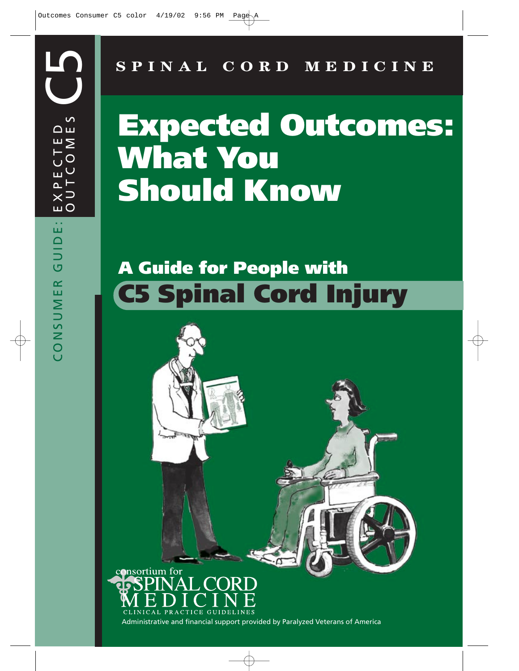**SPINAL CORD MEDICINE**

# **Expected Outcomes: What You Should Know**

## **A Guide for People with C5 Spinal Cord Injury**

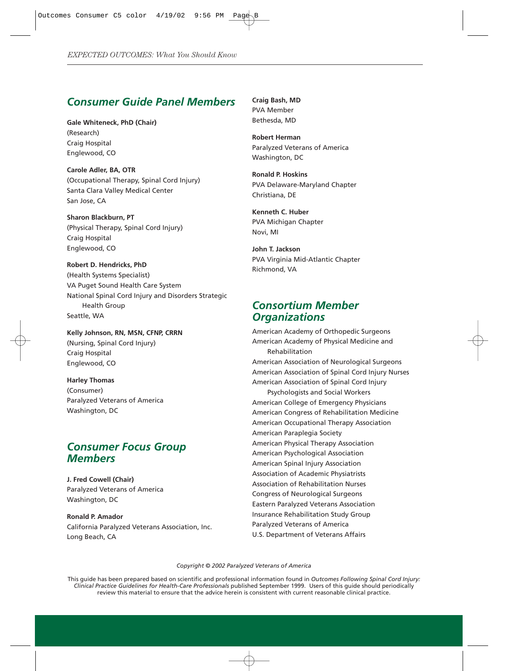#### *Consumer Guide Panel Members*

**Gale Whiteneck, PhD (Chair)** (Research) Craig Hospital Englewood, CO

**Carole Adler, BA, OTR** (Occupational Therapy, Spinal Cord Injury) Santa Clara Valley Medical Center San Jose, CA

**Sharon Blackburn, PT** (Physical Therapy, Spinal Cord Injury) Craig Hospital Englewood, CO

**Robert D. Hendricks, PhD** (Health Systems Specialist) VA Puget Sound Health Care System National Spinal Cord Injury and Disorders Strategic Health Group Seattle, WA

**Kelly Johnson, RN, MSN, CFNP, CRRN** (Nursing, Spinal Cord Injury) Craig Hospital Englewood, CO

**Harley Thomas** (Consumer) Paralyzed Veterans of America Washington, DC

#### *Consumer Focus Group Members*

**J. Fred Cowell (Chair)** Paralyzed Veterans of America Washington, DC

**Ronald P. Amador** California Paralyzed Veterans Association, Inc. Long Beach, CA

**Craig Bash, MD** PVA Member Bethesda, MD

**Robert Herman** Paralyzed Veterans of America Washington, DC

**Ronald P. Hoskins** PVA Delaware-Maryland Chapter Christiana, DE

**Kenneth C. Huber** PVA Michigan Chapter Novi, MI

**John T. Jackson** PVA Virginia Mid-Atlantic Chapter Richmond, VA

#### *Consortium Member Organizations*

American Academy of Orthopedic Surgeons American Academy of Physical Medicine and Rehabilitation American Association of Neurological Surgeons American Association of Spinal Cord Injury Nurses American Association of Spinal Cord Injury Psychologists and Social Workers American College of Emergency Physicians American Congress of Rehabilitation Medicine American Occupational Therapy Association American Paraplegia Society American Physical Therapy Association American Psychological Association American Spinal Injury Association Association of Academic Physiatrists Association of Rehabilitation Nurses Congress of Neurological Surgeons Eastern Paralyzed Veterans Association Insurance Rehabilitation Study Group Paralyzed Veterans of America U.S. Department of Veterans Affairs

*Copyright © 2002 Paralyzed Veterans of America*

This guide has been prepared based on scientific and professional information found in *Outcomes Following Spinal Cord Injury: Clinical Practice Guidelines for Health-Care Professionals* published September 1999. Users of this guide should periodically review this material to ensure that the advice herein is consistent with current reasonable clinical practice.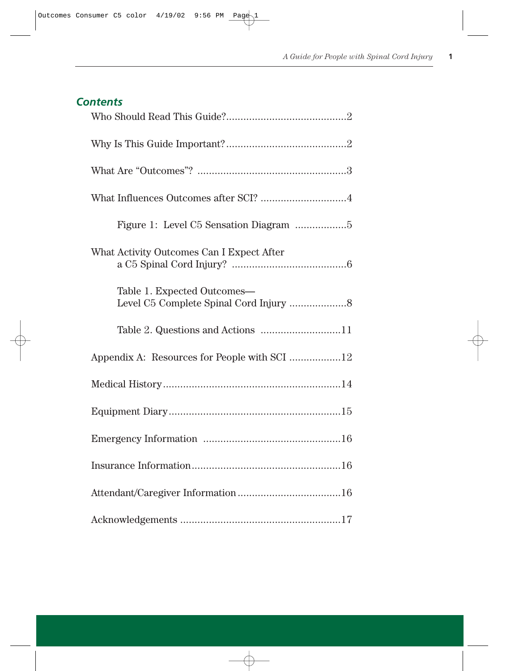|  |  |  |  |  |  | <b>Contents</b> |
|--|--|--|--|--|--|-----------------|
|--|--|--|--|--|--|-----------------|

| What Influences Outcomes after SCI? 4        |  |  |  |  |  |  |
|----------------------------------------------|--|--|--|--|--|--|
|                                              |  |  |  |  |  |  |
| What Activity Outcomes Can I Expect After    |  |  |  |  |  |  |
| Table 1. Expected Outcomes-                  |  |  |  |  |  |  |
| Table 2. Questions and Actions 11            |  |  |  |  |  |  |
| Appendix A: Resources for People with SCI 12 |  |  |  |  |  |  |
|                                              |  |  |  |  |  |  |
|                                              |  |  |  |  |  |  |
|                                              |  |  |  |  |  |  |
|                                              |  |  |  |  |  |  |
|                                              |  |  |  |  |  |  |
|                                              |  |  |  |  |  |  |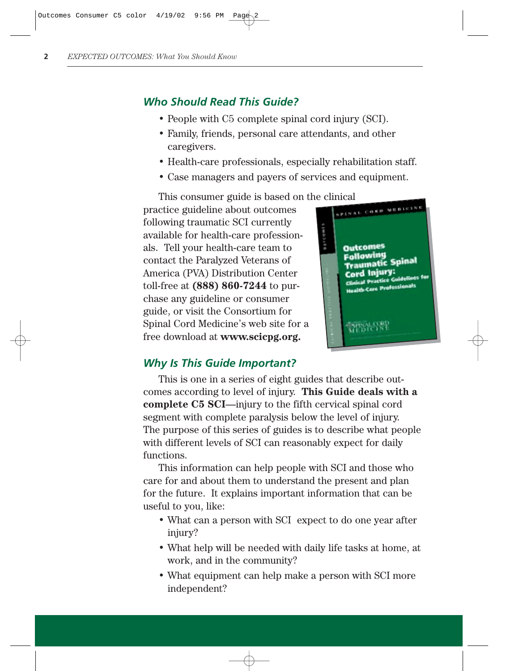## *Who Should Read This Guide?*

- People with C5 complete spinal cord injury (SCI).
- Family, friends, personal care attendants, and other caregivers.
- Health-care professionals, especially rehabilitation staff.
- Case managers and payers of services and equipment.

This consumer guide is based on the clinical extension of the clinical extension of the consumer state of the consumer state of the consumer state of the consumer state of the consumer state of the consumer state of the co practice guideline about outcomes following traumatic SCI currently available for health-care professionals. Tell your health-care team to contact the Paralyzed Veterans of America (PVA) Distribution Center toll-free at **(888) 860-7244** to purchase any guideline or consumer guide, or visit the Consortium for Spinal Cord Medicine's web site for a free download at **www.scicpg.org.**



#### *Why Is This Guide Important?*

This is one in a series of eight guides that describe outcomes according to level of injury. **This Guide deals with a complete C5 SCI**—injury to the fifth cervical spinal cord segment with complete paralysis below the level of injury. The purpose of this series of guides is to describe what people with different levels of SCI can reasonably expect for daily functions.

This information can help people with SCI and those who care for and about them to understand the present and plan for the future. It explains important information that can be useful to you, like:

- What can a person with SCI expect to do one year after injury?
- What help will be needed with daily life tasks at home, at work, and in the community?
- What equipment can help make a person with SCI more independent?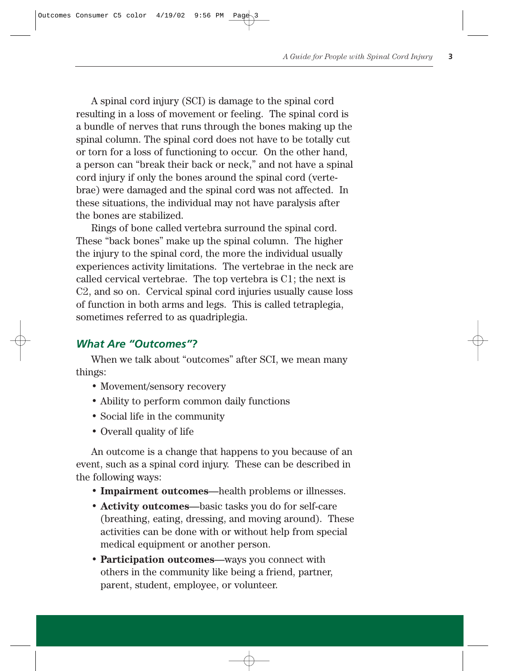A spinal cord injury (SCI) is damage to the spinal cord resulting in a loss of movement or feeling. The spinal cord is a bundle of nerves that runs through the bones making up the spinal column. The spinal cord does not have to be totally cut or torn for a loss of functioning to occur. On the other hand, a person can "break their back or neck," and not have a spinal cord injury if only the bones around the spinal cord (vertebrae) were damaged and the spinal cord was not affected. In these situations, the individual may not have paralysis after the bones are stabilized.

Rings of bone called vertebra surround the spinal cord. These "back bones" make up the spinal column. The higher the injury to the spinal cord, the more the individual usually experiences activity limitations. The vertebrae in the neck are called cervical vertebrae. The top vertebra is C1; the next is C2, and so on. Cervical spinal cord injuries usually cause loss of function in both arms and legs. This is called tetraplegia, sometimes referred to as quadriplegia.

### *What Are "Outcomes"?*

When we talk about "outcomes" after SCI, we mean many things:

- Movement/sensory recovery
- Ability to perform common daily functions
- Social life in the community
- Overall quality of life

An outcome is a change that happens to you because of an event, such as a spinal cord injury. These can be described in the following ways:

- **Impairment outcomes**—health problems or illnesses.
- **Activity outcomes**—basic tasks you do for self-care (breathing, eating, dressing, and moving around). These activities can be done with or without help from special medical equipment or another person.
- **Participation outcomes**—ways you connect with others in the community like being a friend, partner, parent, student, employee, or volunteer.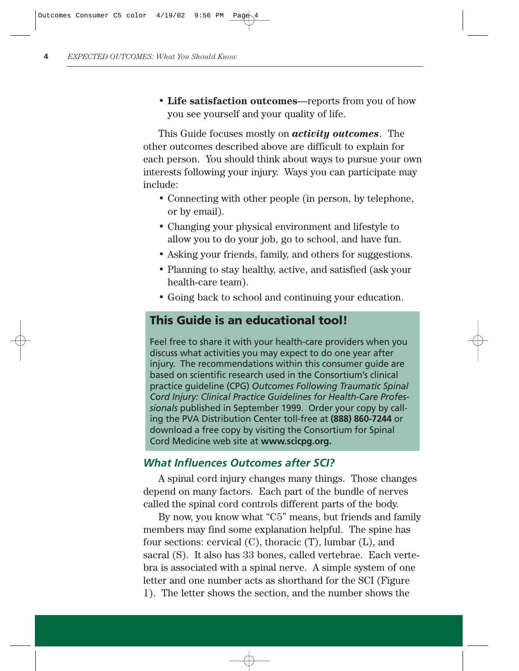• **Life satisfaction outcomes**—reports from you of how you see yourself and your quality of life.

This Guide focuses mostly on *activity outcomes*. The other outcomes described above are difficult to explain for each person. You should think about ways to pursue your own interests following your injury. Ways you can participate may include:

- Connecting with other people (in person, by telephone, or by email).
- Changing your physical environment and lifestyle to allow you to do your job, go to school, and have fun.
- Asking your friends, family, and others for suggestions.
- Planning to stay healthy, active, and satisfied (ask your health-care team).
- Going back to school and continuing your education.

## **This Guide is an educational tool!**

Feel free to share it with your health-care providers when you discuss what activities you may expect to do one year after injury. The recommendations within this consumer guide are based on scientific research used in the Consortium's clinical practice guideline (CPG) *Outcomes Following Traumatic Spinal Cord Injury: Clinical Practice Guidelines for Health-Care Professionals* published in September 1999. Order your copy by calling the PVA Distribution Center toll-free at **(888) 860-7244** or download a free copy by visiting the Consortium for Spinal Cord Medicine web site at **www.scicpg.org.**

#### *What Influences Outcomes after SCI?*

A spinal cord injury changes many things. Those changes depend on many factors. Each part of the bundle of nerves called the spinal cord controls different parts of the body.

By now, you know what "C5" means, but friends and family members may find some explanation helpful. The spine has four sections: cervical (C), thoracic (T), lumbar (L), and sacral (S). It also has 33 bones, called vertebrae. Each vertebra is associated with a spinal nerve. A simple system of one letter and one number acts as shorthand for the SCI (Figure 1). The letter shows the section, and the number shows the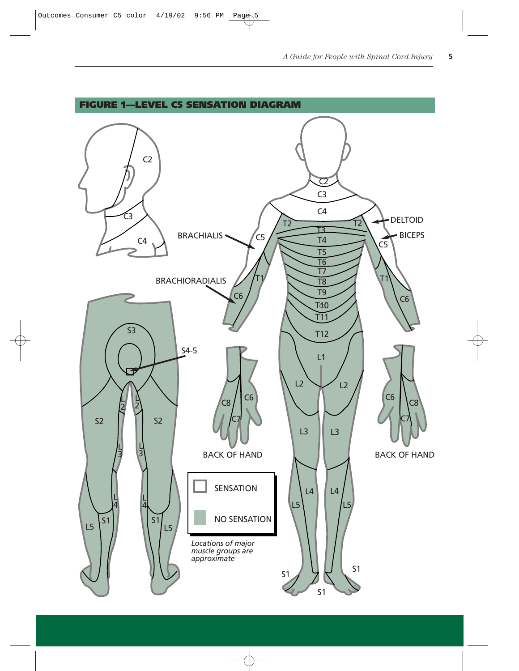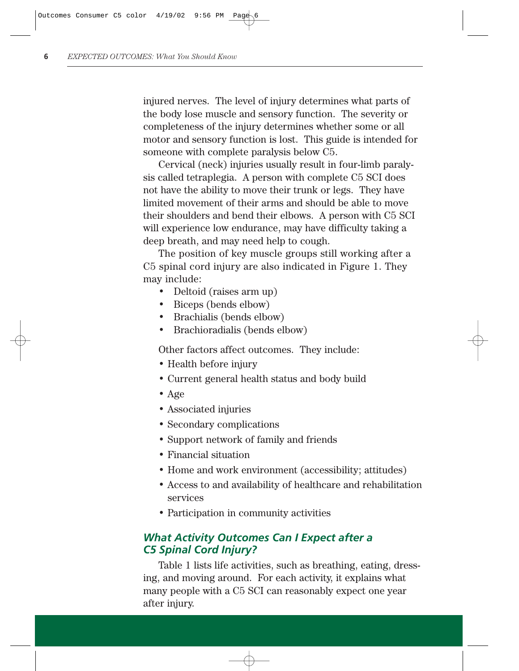injured nerves. The level of injury determines what parts of the body lose muscle and sensory function. The severity or completeness of the injury determines whether some or all motor and sensory function is lost. This guide is intended for someone with complete paralysis below C5.

Cervical (neck) injuries usually result in four-limb paralysis called tetraplegia. A person with complete C5 SCI does not have the ability to move their trunk or legs. They have limited movement of their arms and should be able to move their shoulders and bend their elbows. A person with C5 SCI will experience low endurance, may have difficulty taking a deep breath, and may need help to cough.

The position of key muscle groups still working after a C5 spinal cord injury are also indicated in Figure 1. They may include:

- Deltoid (raises arm up)
- Biceps (bends elbow)
- Brachialis (bends elbow)
- Brachioradialis (bends elbow)

Other factors affect outcomes. They include:

- Health before injury
- Current general health status and body build
- Age
- Associated injuries
- Secondary complications
- Support network of family and friends
- Financial situation
- Home and work environment (accessibility; attitudes)
- Access to and availability of healthcare and rehabilitation services
- Participation in community activities

## *What Activity Outcomes Can I Expect after a C5 Spinal Cord Injury?*

Table 1 lists life activities, such as breathing, eating, dressing, and moving around. For each activity, it explains what many people with a C5 SCI can reasonably expect one year after injury.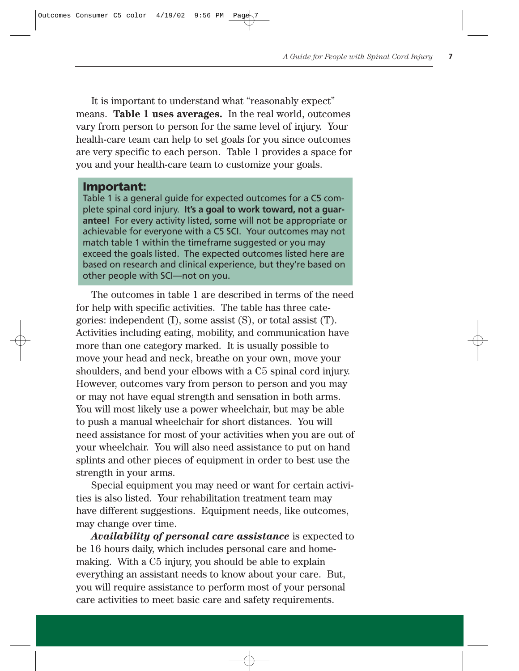It is important to understand what "reasonably expect" means. **Table 1 uses averages.** In the real world, outcomes vary from person to person for the same level of injury. Your health-care team can help to set goals for you since outcomes are very specific to each person. Table 1 provides a space for you and your health-care team to customize your goals.

#### **Important:**

Table 1 is a general guide for expected outcomes for a C5 complete spinal cord injury. **It's a goal to work toward, not a guarantee!** For every activity listed, some will not be appropriate or achievable for everyone with a C5 SCI. Your outcomes may not match table 1 within the timeframe suggested or you may exceed the goals listed. The expected outcomes listed here are based on research and clinical experience, but they're based on other people with SCI—not on you.

The outcomes in table 1 are described in terms of the need for help with specific activities. The table has three categories: independent (I), some assist (S), or total assist (T). Activities including eating, mobility, and communication have more than one category marked. It is usually possible to move your head and neck, breathe on your own, move your shoulders, and bend your elbows with a C5 spinal cord injury. However, outcomes vary from person to person and you may or may not have equal strength and sensation in both arms. You will most likely use a power wheelchair, but may be able to push a manual wheelchair for short distances. You will need assistance for most of your activities when you are out of your wheelchair. You will also need assistance to put on hand splints and other pieces of equipment in order to best use the strength in your arms.

Special equipment you may need or want for certain activities is also listed. Your rehabilitation treatment team may have different suggestions. Equipment needs, like outcomes, may change over time.

*Availability of personal care assistance* is expected to be 16 hours daily, which includes personal care and homemaking. With a C5 injury, you should be able to explain everything an assistant needs to know about your care. But, you will require assistance to perform most of your personal care activities to meet basic care and safety requirements.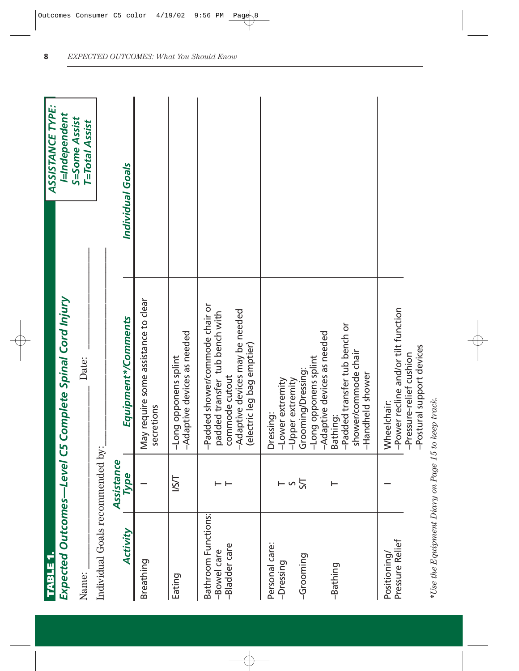| TABLE 1.                                            |                    |                                                                                                                                                      | ASSISTANCE TYPE:                       |
|-----------------------------------------------------|--------------------|------------------------------------------------------------------------------------------------------------------------------------------------------|----------------------------------------|
|                                                     |                    | Expected Outcomes—Level C5 Complete Spinal Cord Injury                                                                                               | I=Independent                          |
| Name:                                               |                    | Date:                                                                                                                                                | S=Some Assist<br><b>T=Total Assist</b> |
| Individual Goals recommended by:                    |                    |                                                                                                                                                      |                                        |
| Activity                                            | Assistance<br>Type | Equipment*/Comments                                                                                                                                  | Individual Goals                       |
| Breathing                                           |                    | May require some assistance to clear<br>secretions                                                                                                   |                                        |
| Eating                                              | <b>LSL</b>         | -Adaptive devices as needed<br>-Long opponens splint                                                                                                 |                                        |
| Bathroom Functions:<br>-Bladder care<br>-Bowel care |                    | -Padded shower/commode chair or<br>-Adaptive devices may be needed<br>padded transfer tub bench with<br>(electric leg bag emptier)<br>commode cutout |                                        |
| Personal care:<br>-Grooming<br>-Dressing            | $ \sim$ $\approx$  | -Adaptive devices as needed<br>-Long opponens splint<br>Grooming/Dressing:<br>-Lower extremity<br>-Upper extremity<br>Dressing:                      |                                        |
| -Bathing                                            |                    | -Padded transfer tub bench or<br>shower/commode chair<br>-Handheld shower<br>Bathing:                                                                |                                        |
| Pressure Relief<br>Positioning                      |                    | -Power recline and/or tilt function<br>-Postural support devices<br>-Pressure-relief cushion<br>Wheelchair:                                          |                                        |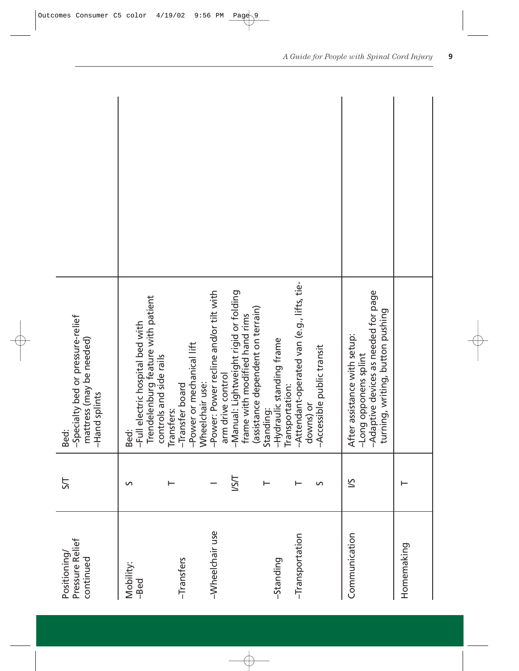| Pressure Relief<br>Positioning<br>continued | 57         | -Specialty bed or pressure-relief<br>mattress (may be needed)<br>-Hand splints<br>Bed:                                                                                     |  |
|---------------------------------------------|------------|----------------------------------------------------------------------------------------------------------------------------------------------------------------------------|--|
| Mobility:<br>-Bed                           | S          | Trendelenburg feature with patient<br>-Full electric hospital bed with<br>controls and side rails<br>Bed:                                                                  |  |
| -Transfers                                  |            | -Power or mechanical lift<br>Wheelchair use:<br>-Transfer board<br>Transfers:                                                                                              |  |
| -Wheelchair use                             | <b>LSI</b> | -Power: Power recline and/or tilt with<br>-Manual: Lightweight rigid or folding<br>(assistance dependent on terrain)<br>frame with modified hand rims<br>arm drive control |  |
| -Transportation<br>-Standing                | S          | -Attendant-operated van (e.g., lifts, tie-<br>-Hydraulic standing frame<br>-Accessible public transit<br>Transportation:<br>downs) or<br>Standing:                         |  |
| Communication                               | 5/         | -Adaptive devices as needed for page<br>turning, writing, button pushing<br>After assistance with setup:<br>-Long opponens splint                                          |  |
| Homemaking                                  |            |                                                                                                                                                                            |  |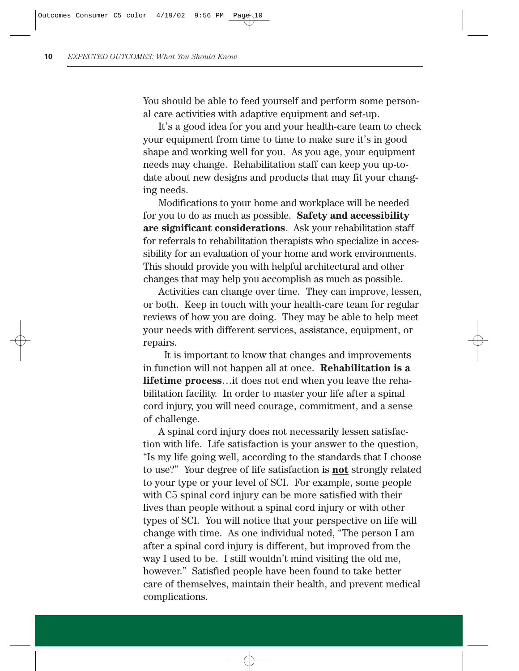You should be able to feed yourself and perform some personal care activities with adaptive equipment and set-up.

It's a good idea for you and your health-care team to check your equipment from time to time to make sure it's in good shape and working well for you. As you age, your equipment needs may change. Rehabilitation staff can keep you up-todate about new designs and products that may fit your changing needs.

Modifications to your home and workplace will be needed for you to do as much as possible. **Safety and accessibility are significant considerations**. Ask your rehabilitation staff for referrals to rehabilitation therapists who specialize in accessibility for an evaluation of your home and work environments. This should provide you with helpful architectural and other changes that may help you accomplish as much as possible.

Activities can change over time. They can improve, lessen, or both. Keep in touch with your health-care team for regular reviews of how you are doing. They may be able to help meet your needs with different services, assistance, equipment, or repairs.

It is important to know that changes and improvements in function will not happen all at once. **Rehabilitation is a lifetime process**…it does not end when you leave the rehabilitation facility. In order to master your life after a spinal cord injury, you will need courage, commitment, and a sense of challenge.

A spinal cord injury does not necessarily lessen satisfaction with life. Life satisfaction is your answer to the question, "Is my life going well, according to the standards that I choose to use?" Your degree of life satisfaction is **not** strongly related to your type or your level of SCI. For example, some people with C5 spinal cord injury can be more satisfied with their lives than people without a spinal cord injury or with other types of SCI. You will notice that your perspective on life will change with time. As one individual noted, "The person I am after a spinal cord injury is different, but improved from the way I used to be. I still wouldn't mind visiting the old me, however." Satisfied people have been found to take better care of themselves, maintain their health, and prevent medical complications.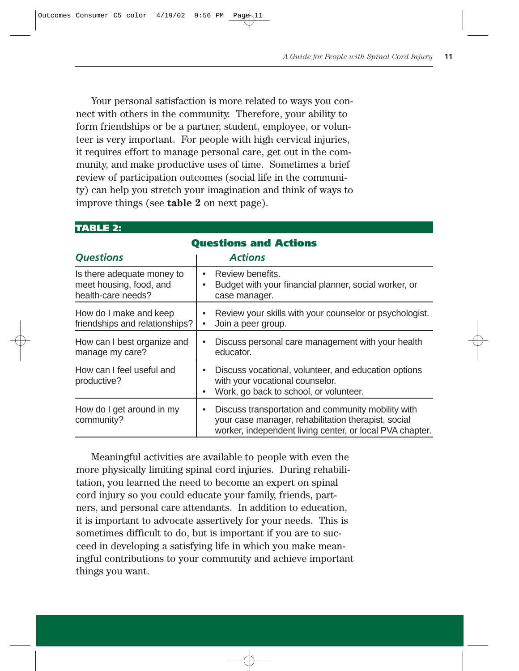Your personal satisfaction is more related to ways you connect with others in the community. Therefore, your ability to form friendships or be a partner, student, employee, or volunteer is very important. For people with high cervical injuries, it requires effort to manage personal care, get out in the community, and make productive uses of time. Sometimes a brief review of participation outcomes (social life in the community) can help you stretch your imagination and think of ways to improve things (see **table 2** on next page).

| TABLE 2:                                                                    |                                                                                                                                                                            |  |  |  |  |  |  |  |
|-----------------------------------------------------------------------------|----------------------------------------------------------------------------------------------------------------------------------------------------------------------------|--|--|--|--|--|--|--|
| <b>Questions and Actions</b>                                                |                                                                                                                                                                            |  |  |  |  |  |  |  |
| <b>Questions</b>                                                            | <b>Actions</b>                                                                                                                                                             |  |  |  |  |  |  |  |
| Is there adequate money to<br>meet housing, food, and<br>health-care needs? | Review benefits.<br>$\bullet$<br>Budget with your financial planner, social worker, or<br>case manager.                                                                    |  |  |  |  |  |  |  |
| How do I make and keep<br>friendships and relationships?                    | Review your skills with your counselor or psychologist.<br>Join a peer group.                                                                                              |  |  |  |  |  |  |  |
| How can I best organize and<br>manage my care?                              | Discuss personal care management with your health<br>educator.                                                                                                             |  |  |  |  |  |  |  |
| How can I feel useful and<br>productive?                                    | Discuss vocational, volunteer, and education options<br>$\bullet$<br>with your vocational counselor.<br>Work, go back to school, or volunteer.                             |  |  |  |  |  |  |  |
| How do I get around in my<br>community?                                     | Discuss transportation and community mobility with<br>٠<br>your case manager, rehabilitation therapist, social<br>worker, independent living center, or local PVA chapter. |  |  |  |  |  |  |  |

Meaningful activities are available to people with even the more physically limiting spinal cord injuries. During rehabilitation, you learned the need to become an expert on spinal cord injury so you could educate your family, friends, partners, and personal care attendants. In addition to education, it is important to advocate assertively for your needs. This is sometimes difficult to do, but is important if you are to succeed in developing a satisfying life in which you make meaningful contributions to your community and achieve important things you want.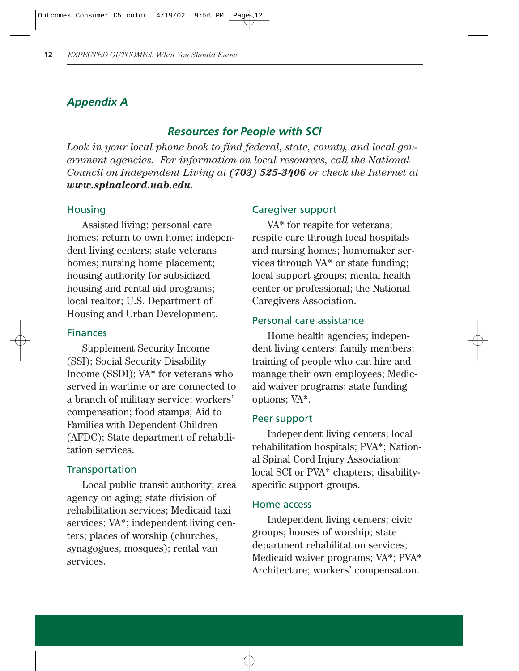## *Appendix A*

## *Resources for People with SCI*

*Look in your local phone book to find federal, state, county, and local government agencies. For information on local resources, call the National Council on Independent Living at (703) 525-3406 or check the Internet at www.spinalcord.uab.edu.*

#### **Housing**

Assisted living; personal care homes; return to own home; independent living centers; state veterans homes; nursing home placement; housing authority for subsidized housing and rental aid programs; local realtor; U.S. Department of Housing and Urban Development.

#### Finances

Supplement Security Income (SSI); Social Security Disability Income (SSDI); VA\* for veterans who served in wartime or are connected to a branch of military service; workers' compensation; food stamps; Aid to Families with Dependent Children (AFDC); State department of rehabilitation services.

#### **Transportation**

Local public transit authority; area agency on aging; state division of rehabilitation services; Medicaid taxi services; VA\*; independent living centers; places of worship (churches, synagogues, mosques); rental van services.

#### Caregiver support

VA\* for respite for veterans; respite care through local hospitals and nursing homes; homemaker services through VA\* or state funding; local support groups; mental health center or professional; the National Caregivers Association.

#### Personal care assistance

Home health agencies; independent living centers; family members; training of people who can hire and manage their own employees; Medicaid waiver programs; state funding options; VA\*.

#### Peer support

Independent living centers; local rehabilitation hospitals; PVA\*; National Spinal Cord Injury Association; local SCI or PVA\* chapters; disabilityspecific support groups.

#### Home access

Independent living centers; civic groups; houses of worship; state department rehabilitation services; Medicaid waiver programs; VA\*; PVA\* Architecture; workers' compensation.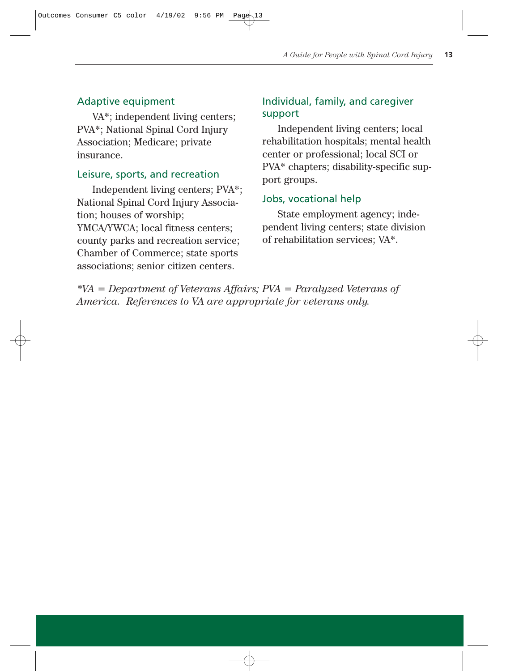#### Adaptive equipment

VA\*; independent living centers; PVA\*; National Spinal Cord Injury Association; Medicare; private insurance.

#### Leisure, sports, and recreation

Independent living centers; PVA\*; National Spinal Cord Injury Association; houses of worship; YMCA/YWCA; local fitness centers; county parks and recreation service; Chamber of Commerce; state sports associations; senior citizen centers.

## Individual, family, and caregiver support

Independent living centers; local rehabilitation hospitals; mental health center or professional; local SCI or PVA\* chapters; disability-specific support groups.

#### Jobs, vocational help

State employment agency; independent living centers; state division of rehabilitation services; VA\*.

*\*VA = Department of Veterans Affairs; PVA = Paralyzed Veterans of America. References to VA are appropriate for veterans only.*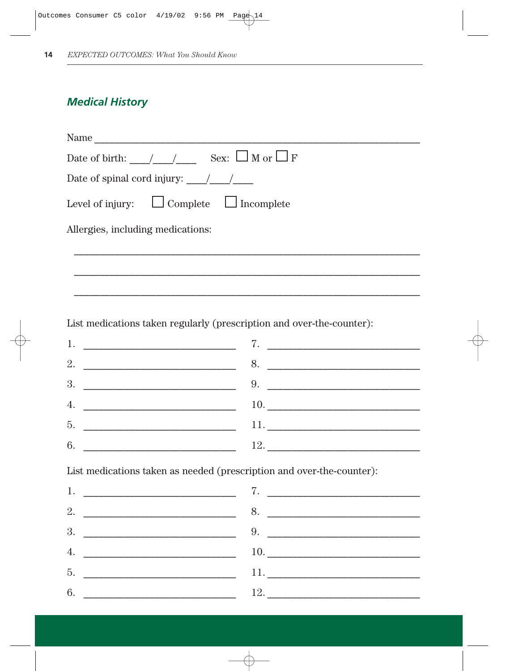## **Medical History**

| Name                                                                                                                                                                                                                                                                                                                                  |
|---------------------------------------------------------------------------------------------------------------------------------------------------------------------------------------------------------------------------------------------------------------------------------------------------------------------------------------|
| Date of birth: $//$ $\qquad$ $\qquad$ $\qquad$ $\qquad$ $\qquad$ $\qquad$ $\qquad$ $\qquad$ $\qquad$ $\qquad$ $\qquad$ $\qquad$ $\qquad$ $\qquad$ $\qquad$ $\qquad$ $\qquad$ $\qquad$ $\qquad$ $\qquad$ $\qquad$ $\qquad$ $\qquad$ $\qquad$ $\qquad$ $\qquad$ $\qquad$ $\qquad$ $\qquad$ $\qquad$ $\qquad$ $\qquad$ $\qquad$ $\qquad$ |
| Date of spinal cord injury: $\frac{1}{2}$ /                                                                                                                                                                                                                                                                                           |
| Level of injury: $\Box$ Complete $\Box$ Incomplete                                                                                                                                                                                                                                                                                    |
| Allergies, including medications:                                                                                                                                                                                                                                                                                                     |
|                                                                                                                                                                                                                                                                                                                                       |
|                                                                                                                                                                                                                                                                                                                                       |
|                                                                                                                                                                                                                                                                                                                                       |
| List medications taken regularly (prescription and over-the-counter):                                                                                                                                                                                                                                                                 |
| 7.<br>1.                                                                                                                                                                                                                                                                                                                              |

8. 5.  $6.$ 

List medications taken as needed (prescription and over-the-counter):

| 1. The contract of the contract of the contract of the contract of the contract of the contract of the contract of the contract of the contract of the contract of the contract of the contract of the contract of the contract |     |
|---------------------------------------------------------------------------------------------------------------------------------------------------------------------------------------------------------------------------------|-----|
|                                                                                                                                                                                                                                 | 8.  |
|                                                                                                                                                                                                                                 |     |
| 4.                                                                                                                                                                                                                              |     |
|                                                                                                                                                                                                                                 |     |
| 6.<br><u> 1980 - Jan James James, martin de la populación de la propia de la propia de la propia de la propia de la pr</u>                                                                                                      | 12. |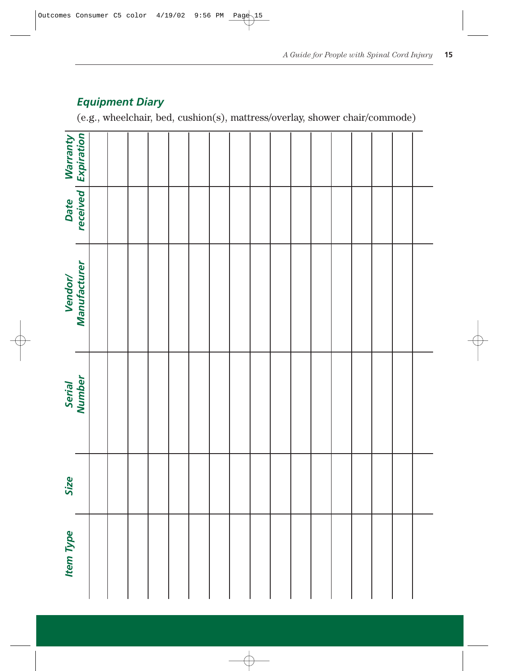## *Equipment Diary*

(e.g., wheelchair, bed, cushion(s), mattress/overlay, shower chair/commode)

|                  | Warranty<br>  Expiration |  |  |  |  |  |  |  |  |  |
|------------------|--------------------------|--|--|--|--|--|--|--|--|--|
|                  | Date<br>received         |  |  |  |  |  |  |  |  |  |
|                  | Vendor/<br>Manufacturer  |  |  |  |  |  |  |  |  |  |
|                  | Serial<br>Number         |  |  |  |  |  |  |  |  |  |
| Size             |                          |  |  |  |  |  |  |  |  |  |
| <b>Item Type</b> |                          |  |  |  |  |  |  |  |  |  |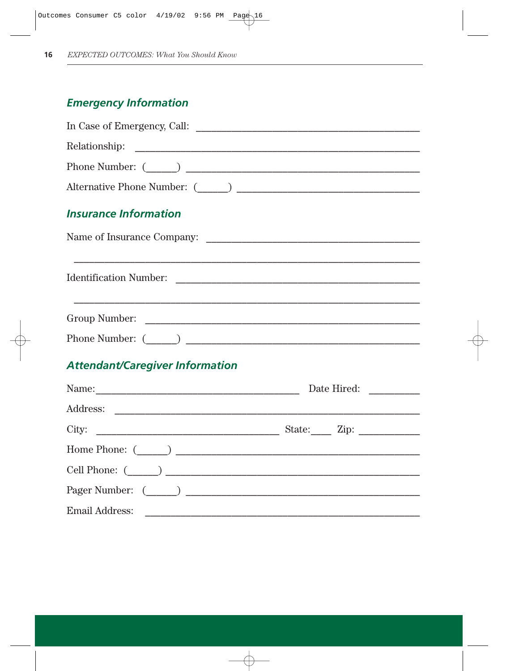## **Emergency Information**

| <b>Insurance Information</b>           |  |
|----------------------------------------|--|
|                                        |  |
|                                        |  |
|                                        |  |
|                                        |  |
| <b>Attendant/Caregiver Information</b> |  |
|                                        |  |
|                                        |  |
|                                        |  |
| Home Phone: $(\_\_)$                   |  |
|                                        |  |

Pager Number:  $\qquad \qquad$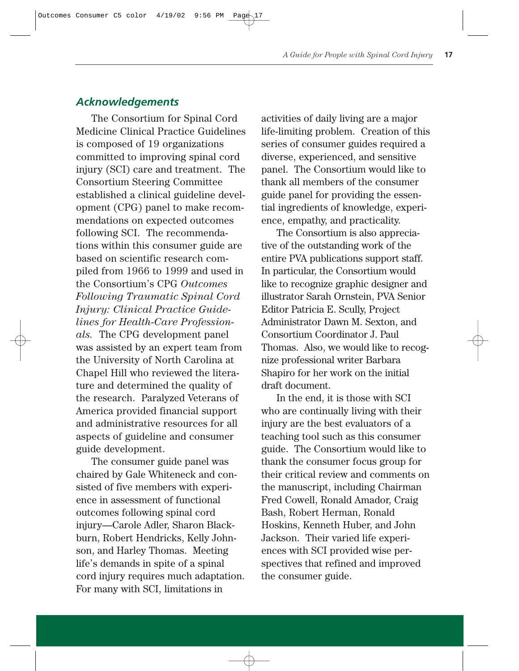## *Acknowledgements*

The Consortium for Spinal Cord Medicine Clinical Practice Guidelines is composed of 19 organizations committed to improving spinal cord injury (SCI) care and treatment. The Consortium Steering Committee established a clinical guideline development (CPG) panel to make recommendations on expected outcomes following SCI. The recommendations within this consumer guide are based on scientific research compiled from 1966 to 1999 and used in the Consortium's CPG *Outcomes Following Traumatic Spinal Cord Injury: Clinical Practice Guidelines for Health-Care Professionals.* The CPG development panel was assisted by an expert team from the University of North Carolina at Chapel Hill who reviewed the literature and determined the quality of the research. Paralyzed Veterans of America provided financial support and administrative resources for all aspects of guideline and consumer guide development.

The consumer guide panel was chaired by Gale Whiteneck and consisted of five members with experience in assessment of functional outcomes following spinal cord injury—Carole Adler, Sharon Blackburn, Robert Hendricks, Kelly Johnson, and Harley Thomas. Meeting life's demands in spite of a spinal cord injury requires much adaptation. For many with SCI, limitations in

activities of daily living are a major life-limiting problem. Creation of this series of consumer guides required a diverse, experienced, and sensitive panel. The Consortium would like to thank all members of the consumer guide panel for providing the essential ingredients of knowledge, experience, empathy, and practicality.

The Consortium is also appreciative of the outstanding work of the entire PVA publications support staff. In particular, the Consortium would like to recognize graphic designer and illustrator Sarah Ornstein, PVA Senior Editor Patricia E. Scully, Project Administrator Dawn M. Sexton, and Consortium Coordinator J. Paul Thomas. Also, we would like to recognize professional writer Barbara Shapiro for her work on the initial draft document.

In the end, it is those with SCI who are continually living with their injury are the best evaluators of a teaching tool such as this consumer guide. The Consortium would like to thank the consumer focus group for their critical review and comments on the manuscript, including Chairman Fred Cowell, Ronald Amador, Craig Bash, Robert Herman, Ronald Hoskins, Kenneth Huber, and John Jackson. Their varied life experiences with SCI provided wise perspectives that refined and improved the consumer guide.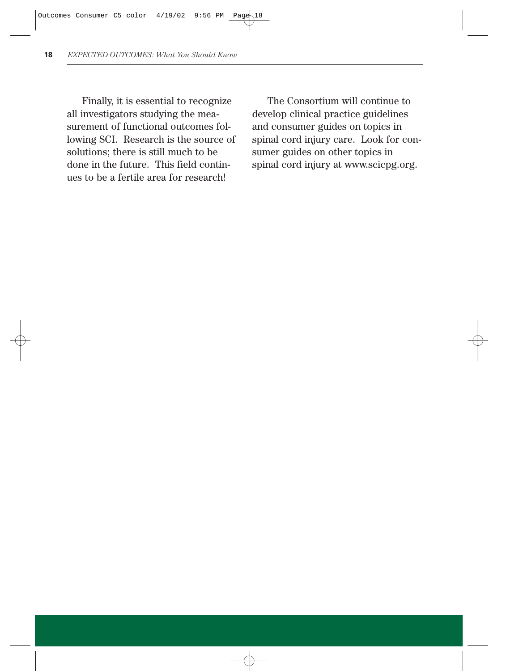Finally, it is essential to recognize all investigators studying the measurement of functional outcomes following SCI. Research is the source of solutions; there is still much to be done in the future. This field continues to be a fertile area for research!

The Consortium will continue to develop clinical practice guidelines and consumer guides on topics in spinal cord injury care. Look for consumer guides on other topics in spinal cord injury at www.scicpg.org.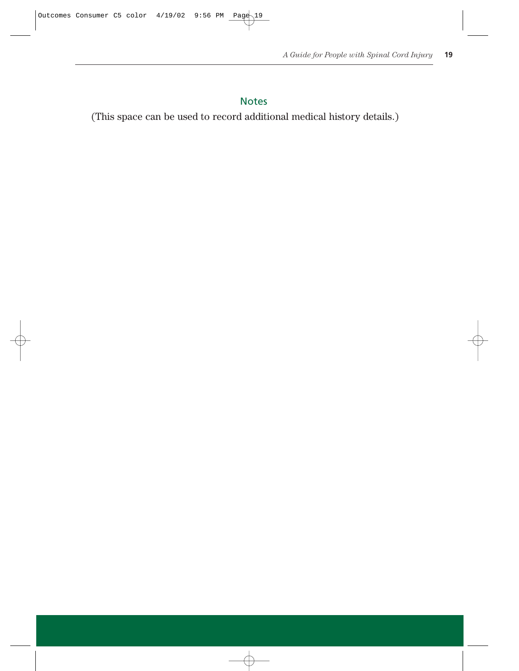## Notes

(This space can be used to record additional medical history details.)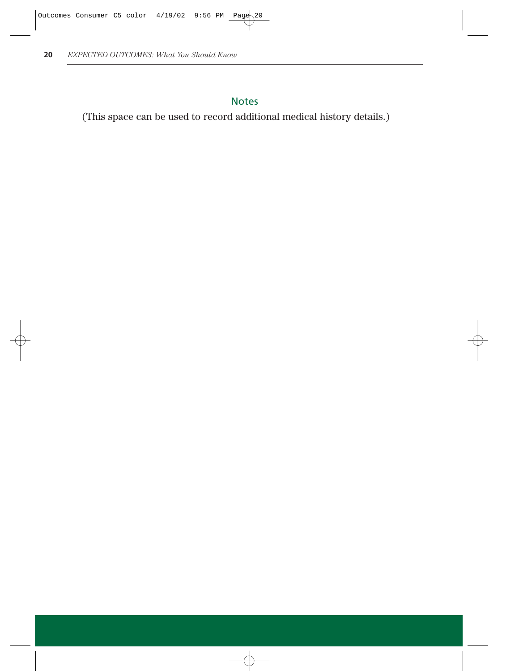## Notes

(This space can be used to record additional medical history details.)